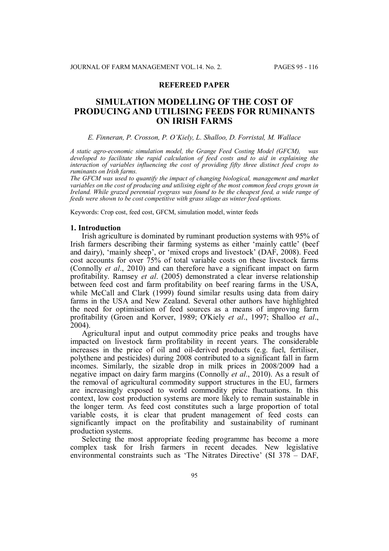# **REFEREED PAPER**

# **SIMULATION MODELLING OF THE COST OF PRODUCING AND UTILISING FEEDS FOR RUMINANTS ON IRISH FARMS**

### *E. Finneran, P. Crosson, P. O'Kiely, L. Shalloo, D. Forristal, M. Wallace*

*A static agro-economic simulation model, the Grange Feed Costing Model (GFCM), was developed to facilitate the rapid calculation of feed costs and to aid in explaining the interaction of variables influencing the cost of providing fifty three distinct feed crops to ruminants on Irish farms.*

*The GFCM was used to quantify the impact of changing biological, management and market variables on the cost of producing and utilising eight of the most common feed crops grown in Ireland. While grazed perennial ryegrass was found to be the cheapest feed, a wide range of feeds were shown to be cost competitive with grass silage as winter feed options.*

Keywords: Crop cost, feed cost, GFCM, simulation model, winter feeds

### **1. Introduction**

Irish agriculture is dominated by ruminant production systems with 95% of Irish farmers describing their farming systems as either 'mainly cattle' (beef and dairy), 'mainly sheep', or 'mixed crops and livestock' (DAF, 2008). Feed cost accounts for over 75% of total variable costs on these livestock farms (Connolly *et al*., 2010) and can therefore have a significant impact on farm profitability. Ramsey *et al*. (2005) demonstrated a clear inverse relationship between feed cost and farm profitability on beef rearing farms in the USA, while McCall and Clark (1999) found similar results using data from dairy farms in the USA and New Zealand. Several other authors have highlighted the need for optimisation of feed sources as a means of improving farm profitability (Groen and Korver, 1989; O'Kiely *et al*., 1997; Shalloo *et al*., 2004).

Agricultural input and output commodity price peaks and troughs have impacted on livestock farm profitability in recent years. The considerable increases in the price of oil and oil-derived products (e.g. fuel, fertiliser, polythene and pesticides) during 2008 contributed to a significant fall in farm incomes. Similarly, the sizable drop in milk prices in 2008/2009 had a negative impact on dairy farm margins (Connolly *et al*., 2010). As a result of the removal of agricultural commodity support structures in the EU, farmers are increasingly exposed to world commodity price fluctuations. In this context, low cost production systems are more likely to remain sustainable in the longer term. As feed cost constitutes such a large proportion of total variable costs, it is clear that prudent management of feed costs can significantly impact on the profitability and sustainability of ruminant production systems.

Selecting the most appropriate feeding programme has become a more complex task for Irish farmers in recent decades. New legislative environmental constraints such as 'The Nitrates Directive' (SI 378 – DAF,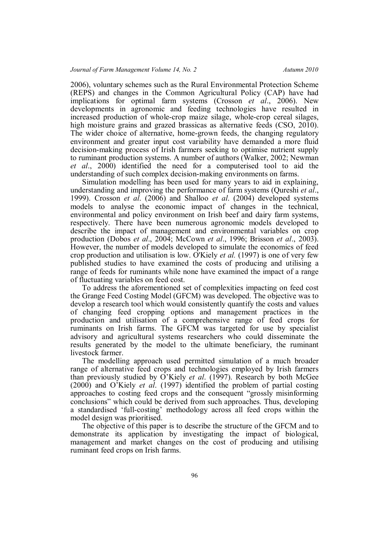2006), voluntary schemes such as the Rural Environmental Protection Scheme (REPS) and changes in the Common Agricultural Policy (CAP) have had implications for optimal farm systems (Crosson *et al*., 2006). New developments in agronomic and feeding technologies have resulted in increased production of whole-crop maize silage, whole-crop cereal silages, high moisture grains and grazed brassicas as alternative feeds (CSO, 2010). The wider choice of alternative, home-grown feeds, the changing regulatory environment and greater input cost variability have demanded a more fluid decision-making process of Irish farmers seeking to optimise nutrient supply to ruminant production systems. A number of authors (Walker, 2002; Newman *et al*., 2000) identified the need for a computerised tool to aid the understanding of such complex decision-making environments on farms.

Simulation modelling has been used for many years to aid in explaining, understanding and improving the performance of farm systems (Qureshi *et al*., 1999). Crosson *et al*. (2006) and Shalloo *et al*. (2004) developed systems models to analyse the economic impact of changes in the technical, environmental and policy environment on Irish beef and dairy farm systems, respectively. There have been numerous agronomic models developed to describe the impact of management and environmental variables on crop production (Dobos *et al*., 2004; McCown *et al*., 1996; Brisson *et al*., 2003). However, the number of models developed to simulate the economics of feed crop production and utilisation is low. O'Kiely *et al.* (1997) is one of very few published studies to have examined the costs of producing and utilising a range of feeds for ruminants while none have examined the impact of a range of fluctuating variables on feed cost.

To address the aforementioned set of complexities impacting on feed cost the Grange Feed Costing Model (GFCM) was developed. The objective was to develop a research tool which would consistently quantify the costs and values of changing feed cropping options and management practices in the production and utilisation of a comprehensive range of feed crops for ruminants on Irish farms. The GFCM was targeted for use by specialist advisory and agricultural systems researchers who could disseminate the results generated by the model to the ultimate beneficiary, the ruminant livestock farmer.

The modelling approach used permitted simulation of a much broader range of alternative feed crops and technologies employed by Irish farmers than previously studied by O'Kiely *et al*. (1997). Research by both McGee (2000) and O'Kiely *et al*. (1997) identified the problem of partial costing approaches to costing feed crops and the consequent "grossly misinforming conclusions" which could be derived from such approaches. Thus, developing a standardised 'full-costing' methodology across all feed crops within the model design was prioritised.

The objective of this paper is to describe the structure of the GFCM and to demonstrate its application by investigating the impact of biological, management and market changes on the cost of producing and utilising ruminant feed crops on Irish farms.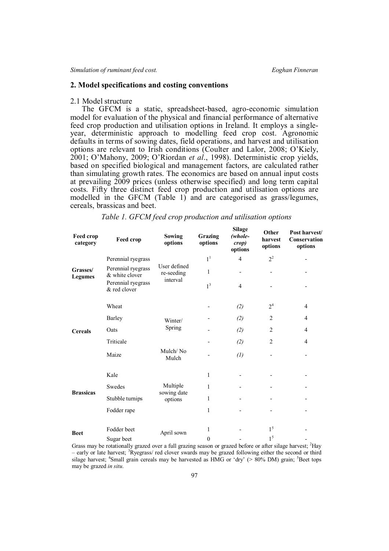# **2. Model specifications and costing conventions**

### 2.1 Model structure

The GFCM is a static, spreadsheet-based, agro-economic simulation model for evaluation of the physical and financial performance of alternative feed crop production and utilisation options in Ireland. It employs a singleyear, deterministic approach to modelling feed crop cost. Agronomic defaults in terms of sowing dates, field operations, and harvest and utilisation options are relevant to Irish conditions (Coulter and Lalor, 2008; O'Kiely, 2001; O'Mahony, 2009; O'Riordan *et al*., 1998). Deterministic crop yields, based on specified biological and management factors, are calculated rather than simulating growth rates. The economics are based on annual input costs at prevailing 2009 prices (unless otherwise specified) and long term capital costs. Fifty three distinct feed crop production and utilisation options are modelled in the GFCM (Table 1) and are categorised as grass/legumes, cereals, brassicas and beet.

| Feed crop<br>category      | Feed crop                            | Sowing<br>options                      | Grazing<br>options | мице<br>(whole-<br>crop)<br>options | Other<br>harvest<br>options  | Post harvest/<br>Conservation<br>options |
|----------------------------|--------------------------------------|----------------------------------------|--------------------|-------------------------------------|------------------------------|------------------------------------------|
| Grasses/<br><b>Legumes</b> | Perennial ryegrass                   |                                        | 1 <sup>1</sup>     | $\overline{4}$                      | $2^2$                        |                                          |
|                            | Perennial ryegrass<br>& white clover | User defined<br>re-seeding<br>interval | 1                  |                                     | $\qquad \qquad \blacksquare$ |                                          |
|                            | Perennial ryegrass<br>& red clover   |                                        | 1 <sup>3</sup>     | $\overline{4}$                      |                              |                                          |
|                            | Wheat                                |                                        |                    | (2)                                 | 2 <sup>4</sup>               | $\overline{4}$                           |
| <b>Cereals</b>             | <b>Barley</b>                        | Winter/<br>Spring                      |                    | (2)                                 | $\overline{2}$               | $\overline{4}$                           |
|                            | Oats                                 |                                        |                    | (2)                                 | $\overline{2}$               | $\overline{4}$                           |
|                            | Triticale                            |                                        |                    | (2)                                 | $\overline{2}$               | $\overline{4}$                           |
|                            | Maize                                | Mulch/No<br>Mulch                      |                    | (1)                                 | $\overline{\phantom{a}}$     |                                          |
| <b>Brassicas</b>           | Kale                                 |                                        | 1                  |                                     |                              |                                          |
|                            | Swedes                               | Multiple<br>sowing date<br>options     | 1                  |                                     |                              |                                          |
|                            | Stubble turnips                      |                                        | 1                  |                                     |                              |                                          |
|                            | Fodder rape                          |                                        | $\mathbf{1}$       |                                     |                              |                                          |
| <b>Beet</b>                | Fodder beet                          | April sown                             | 1                  |                                     | 1 <sup>5</sup>               |                                          |
|                            | Sugar beet                           |                                        | $\boldsymbol{0}$   |                                     | 1 <sup>5</sup>               |                                          |

*Table 1. GFCM feed crop production and utilisation options*

**Silage**

Grass may be rotationally grazed over a full grazing season or grazed before or after silage harvest; <sup>2</sup>Hay – early or late harvest; <sup>3</sup>Ryegrass/ red clover swards may be grazed following either the second or third silage harvest; <sup>4</sup>Small grain cereals may be harvested as HMG or 'dry' ( $> 80\%$  DM) grain; <sup>5</sup>Beet tops may be grazed *in situ*.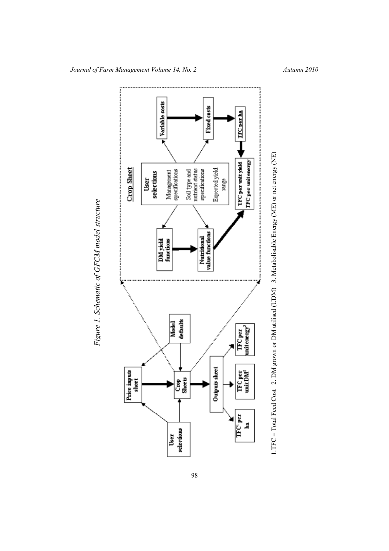



*Journal of Farm Management Volume 14, No. 2* Autumn 2010

*Fig ure 1. Sc hem*

*atic of*

*GFCM*

*model str uctu re*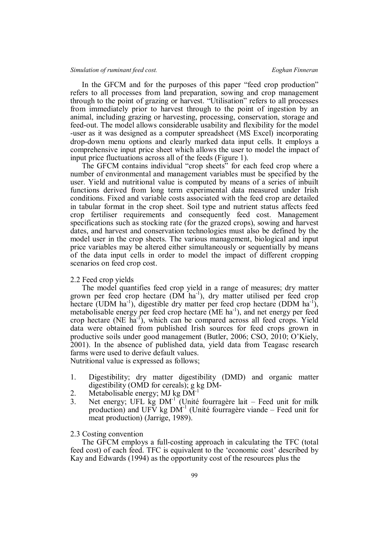In the GFCM and for the purposes of this paper "feed crop production" refers to all processes from land preparation, sowing and crop management through to the point of grazing or harvest. "Utilisation" refers to all processes from immediately prior to harvest through to the point of ingestion by an animal, including grazing or harvesting, processing, conservation, storage and feed-out. The model allows considerable usability and flexibility for the model -user as it was designed as a computer spreadsheet (MS Excel) incorporating drop-down menu options and clearly marked data input cells. It employs a comprehensive input price sheet which allows the user to model the impact of input price fluctuations across all of the feeds (Figure 1).

The GFCM contains individual "crop sheets" for each feed crop where a number of environmental and management variables must be specified by the user. Yield and nutritional value is computed by means of a series of inbuilt functions derived from long term experimental data measured under Irish conditions. Fixed and variable costs associated with the feed crop are detailed in tabular format in the crop sheet. Soil type and nutrient status affects feed crop fertiliser requirements and consequently feed cost. Management specifications such as stocking rate (for the grazed crops), sowing and harvest dates, and harvest and conservation technologies must also be defined by the model user in the crop sheets. The various management, biological and input price variables may be altered either simultaneously or sequentially by means of the data input cells in order to model the impact of different cropping scenarios on feed crop cost.

### 2.2 Feed crop yields

The model quantifies feed crop yield in a range of measures; dry matter grown per feed crop hectare (DM ha<sup>-1</sup>), dry matter utilised per feed crop hectare (UDM ha<sup>-1</sup>), digestible dry matter per feed crop hectare (DDM ha<sup>-1</sup>), metabolisable energy per feed crop hectare (ME ha<sup>-1</sup>), and net energy per feed crop hectare (NE  $\tilde{h}a^{-1}$ ), which can be compared across all feed crops. Yield data were obtained from published Irish sources for feed crops grown in productive soils under good management (Butler, 2006; CSO, 2010; O'Kiely, 2001). In the absence of published data, yield data from Teagasc research farms were used to derive default values.

Nutritional value is expressed as follows;

- 1. Digestibility; dry matter digestibility (DMD) and organic matter digestibility (OMD for cereals); g kg DM-
- 2. Metabolisable energy; MJ kg  $\widetilde{DM}^{-1}$
- 3. Net energy; UFL  $\overrightarrow{kg}$  DM<sup>-1</sup> (Unité fourragère lait Feed unit for milk production) and UFV kg  $DM^{-1}$  (Unité fourragère viande – Feed unit for meat production) (Jarrige, 1989).

## 2.3 Costing convention

The GFCM employs a full-costing approach in calculating the TFC (total feed cost) of each feed. TFC is equivalent to the 'economic cost' described by Kay and Edwards (1994) as the opportunity cost of the resources plus the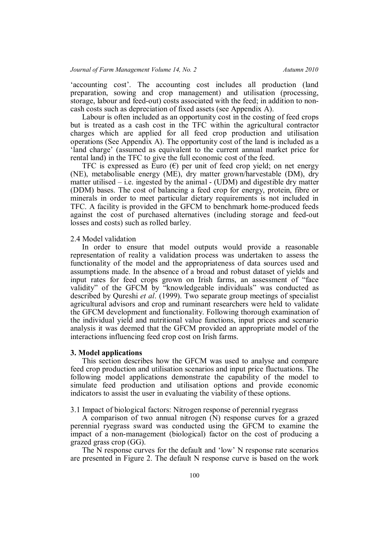'accounting cost'. The accounting cost includes all production (land preparation, sowing and crop management) and utilisation (processing, storage, labour and feed-out) costs associated with the feed; in addition to noncash costs such as depreciation of fixed assets (see Appendix A).

Labour is often included as an opportunity cost in the costing of feed crops but is treated as a cash cost in the TFC within the agricultural contractor charges which are applied for all feed crop production and utilisation operations (See Appendix A). The opportunity cost of the land is included as a 'land charge' (assumed as equivalent to the current annual market price for rental land) in the TFC to give the full economic cost of the feed.

TFC is expressed as Euro  $(\epsilon)$  per unit of feed crop yield; on net energy (NE), metabolisable energy (ME), dry matter grown/harvestable (DM), dry matter utilised  $-$  i.e. ingested by the animal  $-$  (UDM) and digestible dry matter (DDM) bases. The cost of balancing a feed crop for energy, protein, fibre or minerals in order to meet particular dietary requirements is not included in TFC. A facility is provided in the GFCM to benchmark home-produced feeds against the cost of purchased alternatives (including storage and feed-out losses and costs) such as rolled barley.

### 2.4 Model validation

In order to ensure that model outputs would provide a reasonable representation of reality a validation process was undertaken to assess the functionality of the model and the appropriateness of data sources used and assumptions made. In the absence of a broad and robust dataset of yields and input rates for feed crops grown on Irish farms, an assessment of "face validity" of the GFCM by "knowledgeable individuals" was conducted as described by Qureshi *et al*. (1999). Two separate group meetings of specialist agricultural advisors and crop and ruminant researchers were held to validate the GFCM development and functionality. Following thorough examination of the individual yield and nutritional value functions, input prices and scenario analysis it was deemed that the GFCM provided an appropriate model of the interactions influencing feed crop cost on Irish farms.

### **3. Model applications**

This section describes how the GFCM was used to analyse and compare feed crop production and utilisation scenarios and input price fluctuations. The following model applications demonstrate the capability of the model to simulate feed production and utilisation options and provide economic indicators to assist the user in evaluating the viability of these options.

# 3.1 Impact of biological factors: Nitrogen response of perennial ryegrass

A comparison of two annual nitrogen (N) response curves for a grazed perennial ryegrass sward was conducted using the GFCM to examine the impact of a non-management (biological) factor on the cost of producing a grazed grass crop (GG).

The N response curves for the default and 'low' N response rate scenarios are presented in Figure 2. The default N response curve is based on the work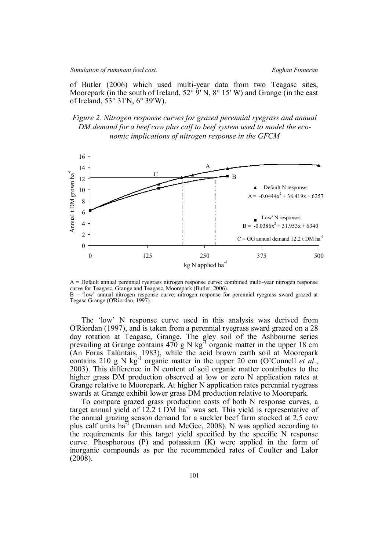of Butler (2006) which used multi-year data from two Teagasc sites, Moorepark (in the south of Ireland,  $52^{\circ}$  9' N, 8° 15' W) and Grange (in the east of Ireland, 53° 31'N, 6° 39'W).

*Figure 2. Nitrogen response curves for grazed perennial ryegrass and annual DM demand for a beef cow plus calf to beef system used to model the economic implications of nitrogen response in the GFCM*



A = Default annual perennial ryegrass nitrogen response curve; combined multi-year nitrogen response curve for Teagasc, Grange and Teagasc, Moorepark (Butler, 2006). B = 'low' annual nitrogen response curve; nitrogen response for perennial ryegrass sward grazed at Tegasc Grange (O'Riordan, 1997).

The 'low' N response curve used in this analysis was derived from O'Riordan (1997), and is taken from a perennial ryegrass sward grazed on a 28 day rotation at Teagasc, Grange. The gley soil of the Ashbourne series prevailing at Grange contains  $470$  g N kg<sup>-1</sup> organic matter in the upper 18 cm (An Foras Talúntais, 1983), while the acid brown earth soil at Moorepark contains 210 g N  $\text{kg}^{-1}$  organic matter in the upper 20 cm (O'Connell *et al.*, 2003). This difference in N content of soil organic matter contributes to the higher grass DM production observed at low or zero N application rates at Grange relative to Moorepark. At higher N application rates perennial ryegrass swards at Grange exhibit lower grass DM production relative to Moorepark.

To compare grazed grass production costs of both N response curves, a target annual yield of  $12.2$  t DM ha<sup>-1</sup> was set. This yield is representative of the annual grazing season demand for a suckler beef farm stocked at 2.5 cow plus calf units ha<sup>-1</sup> (Drennan and McGee, 2008). N was applied according to the requirements for this target yield specified by the specific N response curve. Phosphorous  $(P)$  and potassium  $(K)$  were applied in the form of inorganic compounds as per the recommended rates of Coulter and Lalor (2008).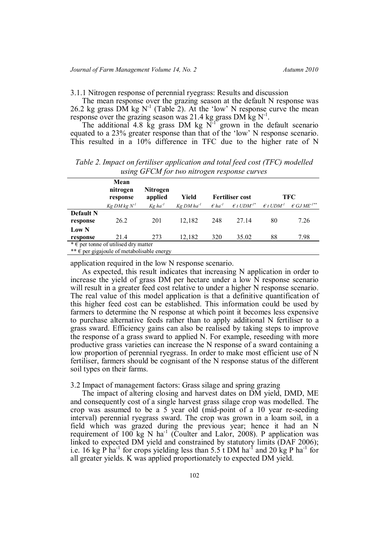3.1.1 Nitrogen response of perennial ryegrass: Results and discussion

The mean response over the grazing season at the default N response was 26.2 kg grass DM kg N<sup>-1</sup> (Table 2). At the 'low' N response curve the mean response over the grazing season was 21.4 kg grass DM kg  $N^{-1}$ .

The additional 4.8 kg grass DM kg  $N^{-1}$  grown in the default scenario equated to a 23% greater response than that of the 'low' N response scenario. This resulted in a 10% difference in TFC due to the higher rate of N

*Table 2. Impact on fertiliser application and total feed cost (TFC) modelled using GFCM for two nitrogen response curves*

|                                                       | Mean<br>nitrogen<br>response | Nitrogen<br>applied   | Yield                  |                             | <b>Fertiliser cost</b>         |                               | <b>TFC</b>                       |
|-------------------------------------------------------|------------------------------|-----------------------|------------------------|-----------------------------|--------------------------------|-------------------------------|----------------------------------|
|                                                       | $Kg$ DM $kg$ $N1$            | $Kg$ ha <sup>-1</sup> | Kg DM ha <sup>-1</sup> | $\epsilon$ ha <sup>-1</sup> | $\epsilon$ t UDM <sup>1*</sup> | $\epsilon$ t UDM <sup>1</sup> | $\epsilon$ GJ ME <sup>-1**</sup> |
| <b>Default N</b>                                      |                              |                       |                        |                             |                                |                               |                                  |
| response                                              | 26.2                         | 201                   | 12.182                 | 248                         | 27 14                          | 80                            | 7.26                             |
| <b>Low N</b>                                          |                              |                       |                        |                             |                                |                               |                                  |
| response                                              | 21.4                         | 273                   | 12,182                 | 320                         | 35.02                          | 88                            | 7.98                             |
| $* \in \mathfrak{p}$ per tonne of utilised dry matter |                              |                       |                        |                             |                                |                               |                                  |
| ** $\epsilon$ per gigajoule of metabolisable energy   |                              |                       |                        |                             |                                |                               |                                  |

application required in the low N response scenario.

As expected, this result indicates that increasing N application in order to increase the yield of grass DM per hectare under a low N response scenario will result in a greater feed cost relative to under a higher N response scenario. The real value of this model application is that a definitive quantification of this higher feed cost can be established. This information could be used by farmers to determine the N response at which point it becomes less expensive to purchase alternative feeds rather than to apply additional N fertiliser to a grass sward. Efficiency gains can also be realised by taking steps to improve the response of a grass sward to applied N. For example, reseeding with more productive grass varieties can increase the N response of a sward containing a low proportion of perennial ryegrass. In order to make most efficient use of N fertiliser, farmers should be cognisant of the N response status of the different soil types on their farms.

# 3.2 Impact of management factors: Grass silage and spring grazing

The impact of altering closing and harvest dates on DM yield, DMD, ME and consequently cost of a single harvest grass silage crop was modelled. The crop was assumed to be a 5 year old (mid-point of a 10 year re-seeding interval) perennial ryegrass sward. The crop was grown in a loam soil, in a field which was grazed during the previous year; hence it had an N requirement of  $100$  kg N ha<sup>-1</sup> (Coulter and Lalor, 2008). P application was linked to expected DM yield and constrained by statutory limits (DAF 2006); i.e. 16 kg P ha<sup>-1</sup> for crops yielding less than  $5.5$  t DM ha<sup>-1</sup> and 20 kg P ha<sup>-1</sup> for all greater yields. K was applied proportionately to expected DM yield.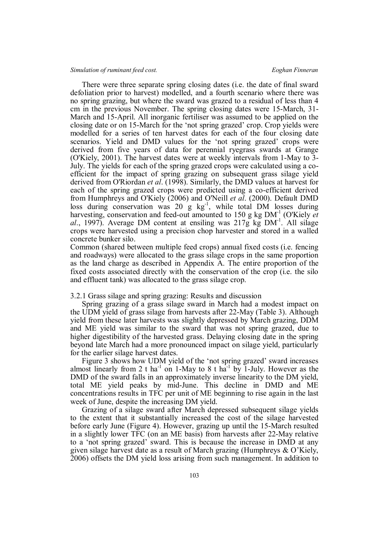There were three separate spring closing dates (i.e. the date of final sward defoliation prior to harvest) modelled, and a fourth scenario where there was no spring grazing, but where the sward was grazed to a residual of less than 4 cm in the previous November. The spring closing dates were 15-March, 31- March and 15-April. All inorganic fertiliser was assumed to be applied on the closing date or on 15-March for the 'not spring grazed' crop. Crop yields were modelled for a series of ten harvest dates for each of the four closing date scenarios. Yield and DMD values for the 'not spring grazed' crops were derived from five years of data for perennial ryegrass swards at Grange (O'Kiely, 2001). The harvest dates were at weekly intervals from 1-May to 3- July. The yields for each of the spring grazed crops were calculated using a coefficient for the impact of spring grazing on subsequent grass silage yield derived from O'Riordan *et al*. (1998). Similarly, the DMD values at harvest for each of the spring grazed crops were predicted using a co-efficient derived from Humphreys and O'Kiely (2006) and O'Neill *et al*. (2000). Default DMD loss during conservation was  $20 \text{ g kg}^{-1}$ , while total DM losses during harvesting, conservation and feed-out amounted to 150 g kg DM<sup>-1</sup> (O'Kiely *et* al., 1997). Average DM content at ensiling was  $217g$  kg DM<sup>-1</sup>. All silage crops were harvested using a precision chop harvester and stored in a walled concrete bunker silo.

Common (shared between multiple feed crops) annual fixed costs (i.e. fencing and roadways) were allocated to the grass silage crops in the same proportion as the land charge as described in Appendix A. The entire proportion of the fixed costs associated directly with the conservation of the crop (i.e. the silo and effluent tank) was allocated to the grass silage crop.

# 3.2.1 Grass silage and spring grazing: Results and discussion

Spring grazing of a grass silage sward in March had a modest impact on the UDM yield of grass silage from harvests after 22-May (Table 3). Although yield from these later harvests was slightly depressed by March grazing, DDM and ME yield was similar to the sward that was not spring grazed, due to higher digestibility of the harvested grass. Delaying closing date in the spring beyond late March had a more pronounced impact on silage yield, particularly for the earlier silage harvest dates.

Figure 3 shows how UDM yield of the 'not spring grazed' sward increases almost linearly from 2 t ha<sup>-1</sup> on 1-May to 8 t ha<sup>-1</sup> by 1-July. However as the DMD of the sward falls in an approximately inverse linearity to the DM yield, total ME yield peaks by mid-June. This decline in DMD and ME concentrations results in TFC per unit of ME beginning to rise again in the last week of June, despite the increasing DM yield.

Grazing of a silage sward after March depressed subsequent silage yields to the extent that it substantially increased the cost of the silage harvested before early June (Figure 4). However, grazing up until the 15-March resulted in a slightly lower TFC (on an ME basis) from harvests after 22-May relative to a 'not spring grazed' sward. This is because the increase in DMD at any given silage harvest date as a result of March grazing (Humphreys & O'Kiely, 2006) offsets the DM yield loss arising from such management. In addition to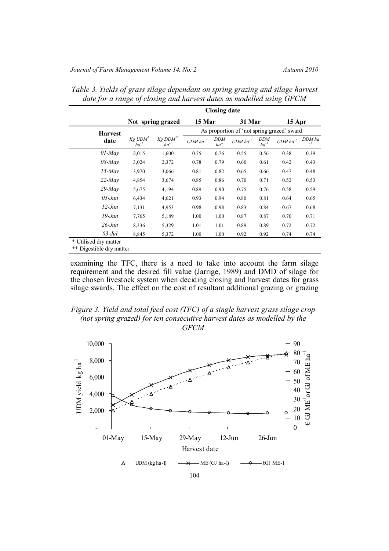|                | <b>Closing date</b>  |                       |                        |                         |                                            |                         |                        |                |
|----------------|----------------------|-----------------------|------------------------|-------------------------|--------------------------------------------|-------------------------|------------------------|----------------|
|                |                      | Not spring grazed     | 15 Mar                 |                         | 31 Mar                                     |                         | 15 Apr                 |                |
| <b>Harvest</b> |                      |                       |                        |                         | As proportion of 'not spring grazed' sward |                         |                        |                |
| date           | Kg UDM*<br>$ha^{-1}$ | Kg DDM**<br>$ha^{-1}$ | $UDM$ ha <sup>-1</sup> | <b>DDM</b><br>$ha^{-1}$ | $UDM$ ha <sup>-1</sup>                     | <b>DDM</b><br>$ha^{-1}$ | $UDM$ ha <sup>-1</sup> | DDM ha<br>$-I$ |
| $01$ -May      | 2,015                | 1,600                 | 0.75                   | 0.76                    | 0.55                                       | 0.56                    | 0.38                   | 0.39           |
| $08$ -May      | 3,024                | 2,372                 | 0.78                   | 0.79                    | 0.60                                       | 0.61                    | 0.42                   | 0.43           |
| $15$ -May      | 3,970                | 3,066                 | 0.81                   | 0.82                    | 0.65                                       | 0.66                    | 0.47                   | 0.48           |
| $22$ -May      | 4,854                | 3,674                 | 0.85                   | 0.86                    | 0.70                                       | 0.71                    | 0.52                   | 0.53           |
| $29$ -May      | 5,675                | 4,194                 | 0.89                   | 0.90                    | 0.75                                       | 0.76                    | 0.58                   | 0.59           |
| $05$ -Jun      | 6,434                | 4,621                 | 0.93                   | 0.94                    | 0.80                                       | 0.81                    | 0.64                   | 0.65           |
| $12$ -Jun      | 7,131                | 4,953                 | 0.98                   | 0.98                    | 0.83                                       | 0.84                    | 0.67                   | 0.68           |
| 19-Jun         | 7,765                | 5,189                 | 1.00                   | 1.00                    | 0.87                                       | 0.87                    | 0.70                   | 0.71           |
| $26$ -Jun      | 8,336                | 5,329                 | 1.01                   | 1.01                    | 0.89                                       | 0.89                    | 0.72                   | 0.72           |
| $03$ -Jul      | 8,845                | 5,372                 | 1.00                   | 1.00                    | 0.92                                       | 0.92                    | 0.74                   | 0.74           |

*Table 3. Yields of grass silage dependant on spring grazing and silage harvest date for a range of closing and harvest dates as modelled using GFCM*

examining the TFC, there is a need to take into account the farm silage requirement and the desired fill value (Jarrige, 1989) and DMD of silage for the chosen livestock system when deciding closing and harvest dates for grass silage swards. The effect on the cost of resultant additional grazing or grazing

*Figure 3. Yield and total feed cost (TFC) of a single harvest grass silage crop (not spring grazed) for ten consecutive harvest dates as modelled by the GFCM*

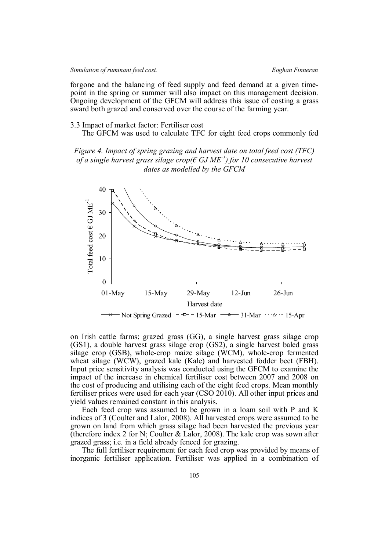forgone and the balancing of feed supply and feed demand at a given timepoint in the spring or summer will also impact on this management decision. Ongoing development of the GFCM will address this issue of costing a grass sward both grazed and conserved over the course of the farming year.

# 3.3 Impact of market factor: Fertiliser cost

The GFCM was used to calculate TFC for eight feed crops commonly fed

*Figure 4. Impact of spring grazing and harvest date on total feed cost (TFC) of a single harvest grass silage crop(€ GJ ME-1 ) for 10 consecutive harvest dates as modelled by the GFCM*



on Irish cattle farms; grazed grass (GG), a single harvest grass silage crop (GS1), a double harvest grass silage crop (GS2), a single harvest baled grass silage crop (GSB), whole-crop maize silage (WCM), whole-crop fermented wheat silage (WCW), grazed kale (Kale) and harvested fodder beet (FBH). Input price sensitivity analysis was conducted using the GFCM to examine the impact of the increase in chemical fertiliser cost between 2007 and 2008 on the cost of producing and utilising each of the eight feed crops. Mean monthly fertiliser prices were used for each year (CSO 2010). All other input prices and yield values remained constant in this analysis.

Each feed crop was assumed to be grown in a loam soil with P and K indices of 3 (Coulter and Lalor, 2008). All harvested crops were assumed to be grown on land from which grass silage had been harvested the previous year (therefore index 2 for N; Coulter  $&$  Lalor, 2008). The kale crop was sown after grazed grass; i.e. in a field already fenced for grazing.

The full fertiliser requirement for each feed crop was provided by means of inorganic fertiliser application. Fertiliser was applied in a combination of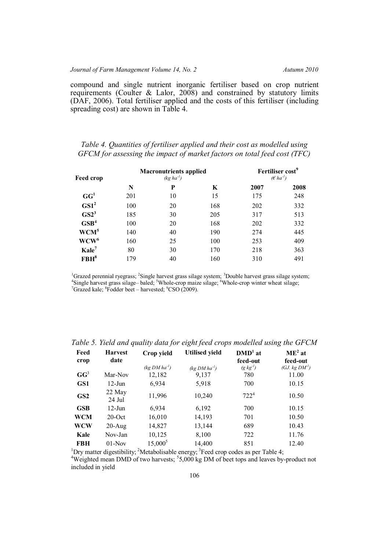compound and single nutrient inorganic fertiliser based on crop nutrient requirements (Coulter & Lalor, 2008) and constrained by statutory limits (DAF, 2006). Total fertiliser applied and the costs of this fertiliser (including spreading cost) are shown in Table 4.

# *Table 4. Quantities of fertiliser applied and their cost as modelled using GFCM for assessing the impact of market factors on total feed cost (TFC)*

| <b>Feed crop</b>  |     | <b>Macronutrients applied</b><br>$(kg ha^{-1})$ |     | Fertiliser cost <sup>9</sup><br>$(E ha^{-1})$ |      |  |
|-------------------|-----|-------------------------------------------------|-----|-----------------------------------------------|------|--|
|                   | N   | P                                               | K   | 2007                                          | 2008 |  |
| GG <sup>1</sup>   | 201 | 10                                              | 15  | 175                                           | 248  |  |
| GS1 <sup>2</sup>  | 100 | 20                                              | 168 | 202                                           | 332  |  |
| GS2 <sup>3</sup>  | 185 | 30                                              | 205 | 317                                           | 513  |  |
| GSB <sup>4</sup>  | 100 | 20                                              | 168 | 202                                           | 332  |  |
| WCM <sup>5</sup>  | 140 | 40                                              | 190 | 274                                           | 445  |  |
| $WCW^6$           | 160 | 25                                              | 100 | 253                                           | 409  |  |
| Kale <sup>7</sup> | 80  | 30                                              | 170 | 218                                           | 363  |  |
| FBH <sup>8</sup>  | 179 | 40                                              | 160 | 310                                           | 491  |  |

<sup>1</sup>Grazed perennial ryegrass; <sup>2</sup>Single harvest grass silage system; <sup>3</sup>Double harvest grass silage system; <sup>4</sup>Single harvest grass silage-baled; <sup>5</sup>Whole-crop maize silage; <sup>6</sup>Whole-crop winter wheat silage;  $7$ Grazed kale;  $8$ Fodder beet – harvested;  $9$ CSO (2009).

| Feed<br>crop    | <b>Harvest</b><br>date | Crop yield        | <b>Utilised yield</b> | $DMD1$ at<br>feed-out | $ME2$ at<br>feed-out |
|-----------------|------------------------|-------------------|-----------------------|-----------------------|----------------------|
|                 |                        | $(kg DM ha^{-1})$ | $(kq DM ha^{-1})$     | $(g \, kg^{-1})$      | (GJ. $kg DM1$ )      |
| $GG^3$          | Mar-Nov                | 12,182            | 9,137                 | 780                   | 11.00                |
| GS1             | $12$ -Jun              | 6,934             | 5,918                 | 700                   | 10.15                |
| GS <sub>2</sub> | 22 May<br>24 Jul       | 11,996            | 10,240                | $722^4$               | 10.50                |
| <b>GSB</b>      | $12$ -Jun              | 6,934             | 6,192                 | 700                   | 10.15                |
| WCM             | $20$ -Oct              | 16,010            | 14,193                | 701                   | 10.50                |
| WCW             | $20$ -Aug              | 14,827            | 13,144                | 689                   | 10.43                |
| Kale            | Nov-Jan                | 10,125            | 8,100                 | 722                   | 11.76                |
| <b>FBH</b>      | $01-Nov$               | $15,000^5$        | 14,400                | 851                   | 12.40                |

*Table 5. Yield and quality data for eight feed crops modelled using the GFCM*

<sup>1</sup>Dry matter digestibility; <sup>2</sup>Metabolisable energy; <sup>3</sup>Feed crop codes as per Table 4;

<sup>4</sup>Weighted mean DMD of two harvests;  $5,000$  kg DM of beet tops and leaves by-product not included in yield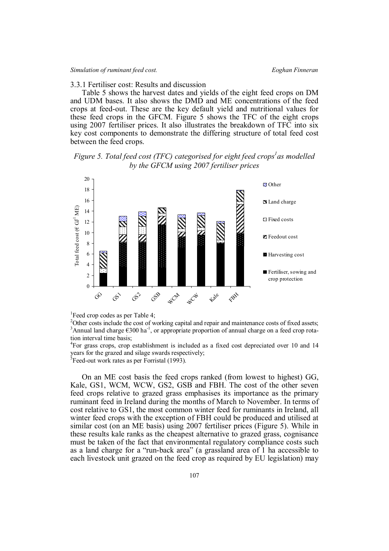# 3.3.1 Fertiliser cost: Results and discussion

Table 5 shows the harvest dates and yields of the eight feed crops on DM and UDM bases. It also shows the DMD and ME concentrations of the feed crops at feed-out. These are the key default yield and nutritional values for these feed crops in the GFCM. Figure 5 shows the TFC of the eight crops using 2007 fertiliser prices. It also illustrates the breakdown of TFC into six key cost components to demonstrate the differing structure of total feed cost between the feed crops.

# *Figure 5. Total feed cost (TFC) categorised for eight feed crops<sup>1</sup> as modelled by the GFCM using 2007 fertiliser prices*



<sup>1</sup> Feed crop codes as per Table 4;

<sup>2</sup>Other costs include the cost of working capital and repair and maintenance costs of fixed assets; <sup>3</sup>Annual land charge  $\epsilon$ 300 ha<sup>-1</sup>, or appropriate proportion of annual charge on a feed crop rotation interval time basis;

4 For grass crops, crop establishment is included as a fixed cost depreciated over 10 and 14 years for the grazed and silage swards respectively; <sup>5</sup> Feed-out work rates as per Forristal (1993).

On an ME cost basis the feed crops ranked (from lowest to highest) GG, Kale, GS1, WCM, WCW, GS2, GSB and FBH. The cost of the other seven feed crops relative to grazed grass emphasises its importance as the primary ruminant feed in Ireland during the months of March to November. In terms of cost relative to GS1, the most common winter feed for ruminants in Ireland, all winter feed crops with the exception of FBH could be produced and utilised at similar cost (on an ME basis) using 2007 fertiliser prices (Figure 5). While in these results kale ranks as the cheapest alternative to grazed grass, cognisance must be taken of the fact that environmental regulatory compliance costs such as a land charge for a "run-back area" (a grassland area of 1 ha accessible to each livestock unit grazed on the feed crop as required by EU legislation) may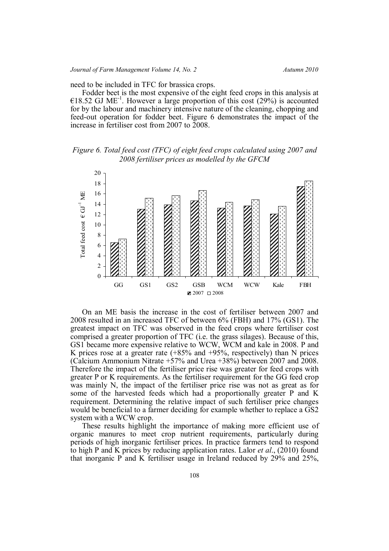need to be included in TFC for brassica crops.

Fodder beet is the most expensive of the eight feed crops in this analysis at €18.52 GJ ME<sup>-1</sup>. However a large proportion of this cost (29%) is accounted for by the labour and machinery intensive nature of the cleaning, chopping and feed-out operation for fodder beet. Figure 6 demonstrates the impact of the increase in fertiliser cost from 2007 to 2008.

*Figure 6. Total feed cost (TFC) of eight feed crops calculated using 2007 and 2008 fertiliser prices as modelled by the GFCM*



On an ME basis the increase in the cost of fertiliser between 2007 and 2008 resulted in an increased TFC of between 6% (FBH) and 17% (GS1). The greatest impact on TFC was observed in the feed crops where fertiliser cost comprised a greater proportion of TFC (i.e. the grass silages). Because of this, GS1 became more expensive relative to WCW, WCM and kale in 2008. P and K prices rose at a greater rate  $(+85\%$  and  $+95\%$ , respectively) than N prices (Calcium Ammonium Nitrate +57% and Urea +38%) between 2007 and 2008. Therefore the impact of the fertiliser price rise was greater for feed crops with greater P or K requirements. As the fertiliser requirement for the GG feed crop was mainly N, the impact of the fertiliser price rise was not as great as for some of the harvested feeds which had a proportionally greater P and K requirement. Determining the relative impact of such fertiliser price changes would be beneficial to a farmer deciding for example whether to replace a GS2 system with a WCW crop.

These results highlight the importance of making more efficient use of organic manures to meet crop nutrient requirements, particularly during periods of high inorganic fertiliser prices. In practice farmers tend to respond to high P and K prices by reducing application rates. Lalor *et al*., (2010) found that inorganic P and K fertiliser usage in Ireland reduced by 29% and 25%,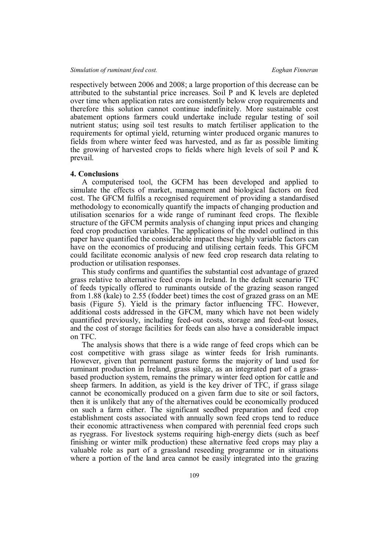respectively between 2006 and 2008; a large proportion of this decrease can be attributed to the substantial price increases. Soil P and K levels are depleted over time when application rates are consistently below crop requirements and therefore this solution cannot continue indefinitely. More sustainable cost abatement options farmers could undertake include regular testing of soil nutrient status; using soil test results to match fertiliser application to the requirements for optimal yield, returning winter produced organic manures to fields from where winter feed was harvested, and as far as possible limiting the growing of harvested crops to fields where high levels of soil P and  $\overline{K}$ prevail.

### **4. Conclusions**

A computerised tool, the GCFM has been developed and applied to simulate the effects of market, management and biological factors on feed cost. The GFCM fulfils a recognised requirement of providing a standardised methodology to economically quantify the impacts of changing production and utilisation scenarios for a wide range of ruminant feed crops. The flexible structure of the GFCM permits analysis of changing input prices and changing feed crop production variables. The applications of the model outlined in this paper have quantified the considerable impact these highly variable factors can have on the economics of producing and utilising certain feeds. This GFCM could facilitate economic analysis of new feed crop research data relating to production or utilisation responses.

This study confirms and quantifies the substantial cost advantage of grazed grass relative to alternative feed crops in Ireland. In the default scenario TFC of feeds typically offered to ruminants outside of the grazing season ranged from 1.88 (kale) to 2.55 (fodder beet) times the cost of grazed grass on an ME basis (Figure 5). Yield is the primary factor influencing TFC. However, additional costs addressed in the GFCM, many which have not been widely quantified previously, including feed-out costs, storage and feed-out losses, and the cost of storage facilities for feeds can also have a considerable impact on TFC.

The analysis shows that there is a wide range of feed crops which can be cost competitive with grass silage as winter feeds for Irish ruminants. However, given that permanent pasture forms the majority of land used for ruminant production in Ireland, grass silage, as an integrated part of a grassbased production system, remains the primary winter feed option for cattle and sheep farmers. In addition, as yield is the key driver of TFC, if grass silage cannot be economically produced on a given farm due to site or soil factors, then it is unlikely that any of the alternatives could be economically produced on such a farm either. The significant seedbed preparation and feed crop establishment costs associated with annually sown feed crops tend to reduce their economic attractiveness when compared with perennial feed crops such as ryegrass. For livestock systems requiring high-energy diets (such as beef finishing or winter milk production) these alternative feed crops may play a valuable role as part of a grassland reseeding programme or in situations where a portion of the land area cannot be easily integrated into the grazing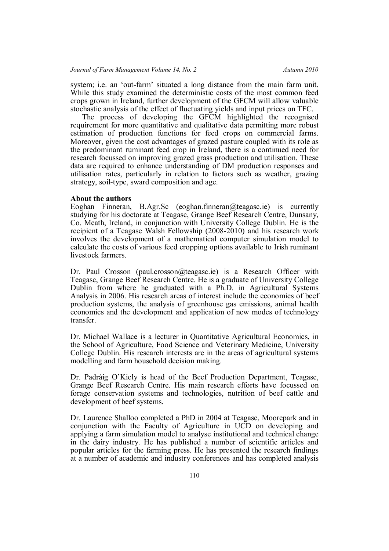system; i.e. an 'out-farm' situated a long distance from the main farm unit. While this study examined the deterministic costs of the most common feed crops grown in Ireland, further development of the GFCM will allow valuable stochastic analysis of the effect of fluctuating yields and input prices on TFC.

The process of developing the GFCM highlighted the recognised requirement for more quantitative and qualitative data permitting more robust estimation of production functions for feed crops on commercial farms. Moreover, given the cost advantages of grazed pasture coupled with its role as the predominant ruminant feed crop in Ireland, there is a continued need for research focussed on improving grazed grass production and utilisation. These data are required to enhance understanding of DM production responses and utilisation rates, particularly in relation to factors such as weather, grazing strategy, soil-type, sward composition and age.

### **About the authors**

Eoghan Finneran, B.Agr.Sc (eoghan.finneran@teagasc.ie) is currently studying for his doctorate at Teagasc, Grange Beef Research Centre, Dunsany, Co. Meath, Ireland, in conjunction with University College Dublin. He is the recipient of a Teagasc Walsh Fellowship (2008-2010) and his research work involves the development of a mathematical computer simulation model to calculate the costs of various feed cropping options available to Irish ruminant livestock farmers.

Dr. Paul Crosson (paul.crosson@teagasc.ie) is a Research Officer with Teagasc, Grange Beef Research Centre. He is a graduate of University College Dublin from where he graduated with a Ph.D. in Agricultural Systems Analysis in 2006. His research areas of interest include the economics of beef production systems, the analysis of greenhouse gas emissions, animal health economics and the development and application of new modes of technology transfer.

Dr. Michael Wallace is a lecturer in Quantitative Agricultural Economics, in the School of Agriculture, Food Science and Veterinary Medicine, University College Dublin. His research interests are in the areas of agricultural systems modelling and farm household decision making.

Dr. Padráig O'Kiely is head of the Beef Production Department, Teagasc, Grange Beef Research Centre. His main research efforts have focussed on forage conservation systems and technologies, nutrition of beef cattle and development of beef systems.

Dr. Laurence Shalloo completed a PhD in 2004 at Teagasc, Moorepark and in conjunction with the Faculty of Agriculture in UCD on developing and applying a farm simulation model to analyse institutional and technical change in the dairy industry. He has published a number of scientific articles and popular articles for the farming press. He has presented the research findings at a number of academic and industry conferences and has completed analysis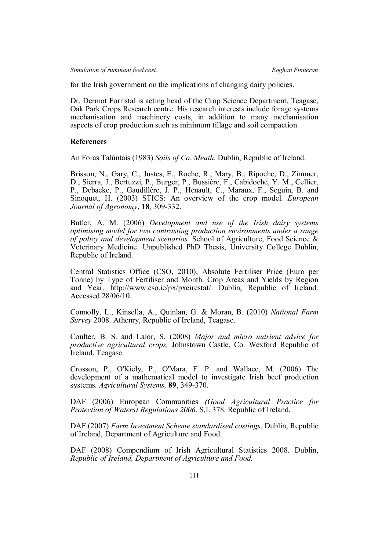for the Irish government on the implications of changing dairy policies.

Dr. Dermot Forristal is acting head of the Crop Science Department, Teagasc, Oak Park Crops Research centre. His research interests include forage systems mechanisation and machinery costs, in addition to many mechanisation aspects of crop production such as minimum tillage and soil compaction.

# **References**

An Foras Talúntais (1983) *Soils of Co. Meath.* Dublin, Republic of Ireland.

Brisson, N., Gary, C., Justes, E., Roche, R., Mary, B., Ripoche, D., Zimmer, D., Sierra, J., Bertuzzi, P., Burger, P., Bussière, F., Cabidoche, Y. M., Cellier, P., Debaeke, P., Gaudillère, J. P., Hénault, C., Maraux, F., Seguin, B. and Sinoquet, H. (2003) STICS: An overview of the crop model. *European Journal of Agronomy*, **18**, 309-332.

Butler, A. M. (2006) *Development and use of the Irish dairy systems optimising model for two contrasting production environments under a range of policy and development scenarios.* School of Agriculture, Food Science & Veterinary Medicine. Unpublished PhD Thesis, University College Dublin, Republic of Ireland.

Central Statistics Office (CSO, 2010), Absolute Fertiliser Price (Euro per Tonne) by Type of Fertiliser and Month. Crop Areas and Yields by Region and Year. http://www.cso.ie/px/pxeirestat/. Dublin, Republic of Ireland. Accessed 28/06/10.

Connolly, L., Kinsella, A., Quinlan, G. & Moran, B. (2010) *National Farm Survey* 2008. Athenry, Republic of Ireland, Teagasc.

Coulter, B. S. and Lalor, S. (2008) *Major and micro nutrient advice for productive agricultural crops,* Johnstown Castle, Co. Wexford Republic of Ireland, Teagasc.

Crosson, P., O'Kiely, P., O'Mara, F. P. and Wallace, M. (2006) The development of a mathematical model to investigate Irish beef production systems. *Agricultural Systems,* **89**, 349-370.

DAF (2006) European Communities *(Good Agricultural Practice for Protection of Waters) Regulations 2006*. S.I. 378. Republic of Ireland.

DAF (2007) *Farm Investment Scheme standardised costings*. Dublin, Republic of Ireland, Department of Agriculture and Food.

DAF (2008) Compendium of Irish Agricultural Statistics 2008. Dublin, *Republic of Ireland, Department of Agriculture and Food.*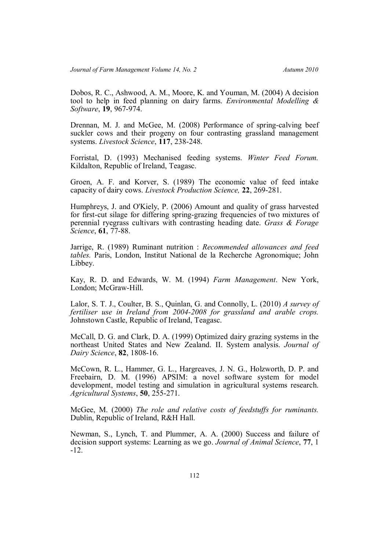Dobos, R. C., Ashwood, A. M., Moore, K. and Youman, M. (2004) A decision tool to help in feed planning on dairy farms. *Environmental Modelling & Software*, **19**, 967-974.

Drennan, M. J. and McGee, M. (2008) Performance of spring-calving beef suckler cows and their progeny on four contrasting grassland management systems. *Livestock Science*, **117**, 238-248.

Forristal, D. (1993) Mechanised feeding systems. *Winter Feed Forum.* Kildalton, Republic of Ireland, Teagasc.

Groen, A. F. and Korver, S. (1989) The economic value of feed intake capacity of dairy cows. *Livestock Production Science,* **22**, 269-281.

Humphreys, J. and O'Kiely, P. (2006) Amount and quality of grass harvested for first-cut silage for differing spring-grazing frequencies of two mixtures of perennial ryegrass cultivars with contrasting heading date. *Grass & Forage Science*, **61**, 77-88.

Jarrige, R. (1989) Ruminant nutrition : *Recommended allowances and feed tables.* Paris, London, Institut National de la Recherche Agronomique; John Libbey.

Kay, R. D. and Edwards, W. M. (1994) *Farm Management*. New York, London; McGraw-Hill.

Lalor, S. T. J., Coulter, B. S., Quinlan, G. and Connolly, L. (2010) *A survey of fertiliser use in Ireland from 2004-2008 for grassland and arable crops.* Johnstown Castle, Republic of Ireland, Teagasc.

McCall, D. G. and Clark, D. A. (1999) Optimized dairy grazing systems in the northeast United States and New Zealand. II. System analysis. *Journal of Dairy Science*, **82**, 1808-16.

McCown, R. L., Hammer, G. L., Hargreaves, J. N. G., Holzworth, D. P. and Freebairn, D. M. (1996) APSIM: a novel software system for model development, model testing and simulation in agricultural systems research. *Agricultural Systems*, **50**, 255-271.

McGee, M. (2000) *The role and relative costs of feedstuffs for ruminants.* Dublin, Republic of Ireland, R&H Hall.

Newman, S., Lynch, T. and Plummer, A. A. (2000) Success and failure of decision support systems: Learning as we go. *Journal of Animal Science*, **77**, 1 -12.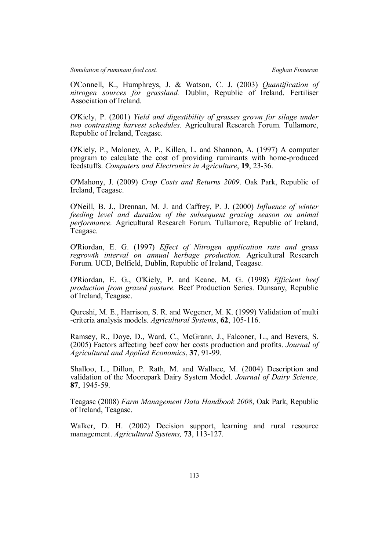O'Connell, K., Humphreys, J. & Watson, C. J. (2003) *Quantification of nitrogen sources for grassland.* Dublin, Republic of Ireland. Fertiliser Association of Ireland.

O'Kiely, P. (2001) *Yield and digestibility of grasses grown for silage under two contrasting harvest schedules.* Agricultural Research Forum. Tullamore, Republic of Ireland, Teagasc.

O'Kiely, P., Moloney, A. P., Killen, L. and Shannon, A. (1997) A computer program to calculate the cost of providing ruminants with home-produced feedstuffs. *Computers and Electronics in Agriculture*, **19**, 23-36.

O'Mahony, J. (2009) *Crop Costs and Returns 2009*. Oak Park, Republic of Ireland, Teagasc.

O'Neill, B. J., Drennan, M. J. and Caffrey, P. J. (2000) *Influence of winter feeding level and duration of the subsequent grazing season on animal performance.* Agricultural Research Forum. Tullamore, Republic of Ireland, Teagasc.

O'Riordan, E. G. (1997) *Effect of Nitrogen application rate and grass regrowth interval on annual herbage production.* Agricultural Research Forum. UCD, Belfield, Dublin, Republic of Ireland, Teagasc.

O'Riordan, E. G., O'Kiely, P. and Keane, M. G. (1998) *Efficient beef production from grazed pasture.* Beef Production Series. Dunsany, Republic of Ireland, Teagasc.

Qureshi, M. E., Harrison, S. R. and Wegener, M. K. (1999) Validation of multi -criteria analysis models. *Agricultural Systems*, **62**, 105-116.

Ramsey, R., Doye, D., Ward, C., McGrann, J., Falconer, L., and Bevers, S. (2005) Factors affecting beef cow her costs production and profits. *Journal of Agricultural and Applied Economics*, **37**, 91-99.

Shalloo, L., Dillon, P. Rath, M. and Wallace, M. (2004) Description and validation of the Moorepark Dairy System Model. *Journal of Dairy Science,* **87**, 1945-59.

Teagasc (2008) *Farm Management Data Handbook 2008*, Oak Park, Republic of Ireland, Teagasc.

Walker, D. H. (2002) Decision support, learning and rural resource management. *Agricultural Systems,* **73**, 113-127.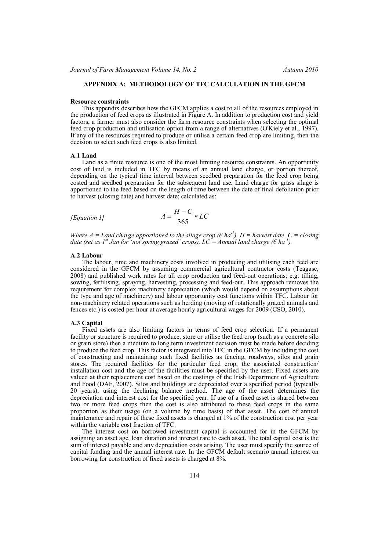### **APPENDIX A: METHODOLOGY OF TFC CALCULATION IN THE GFCM**

#### **Resource constraints**

This appendix describes how the GFCM applies a cost to all of the resources employed in the production of feed crops as illustrated in Figure A. In addition to production cost and yield factors, a farmer must also consider the farm resource constraints when selecting the optimal feed crop production and utilisation option from a range of alternatives (O'Kiely et al., 1997). If any of the resources required to produce or utilise a certain feed crop are limiting, then the decision to select such feed crops is also limited.

## **A.1 Land**

Land as a finite resource is one of the most limiting resource constraints. An opportunity cost of land is included in TFC by means of an annual land charge, or portion thereof, depending on the typical time interval between seedbed preparation for the feed crop being costed and seedbed preparation for the subsequent land use. Land charge for grass silage is apportioned to the feed based on the length of time between the date of final defoliation prior to harvest (closing date) and harvest date; calculated as:

[Equation 1]
$$
A = \frac{H - C}{365} * LC
$$

*Where A = Land charge apportioned to the silage crop (* $\epsilon$  *ha<sup>-1</sup>), H = harvest date, C = closing date (set as 1<sup>st</sup> Jan for 'not spring grazed' crops), LC* = Annual land charge ( $\epsilon$  ha<sup>-1</sup>).

### **A.2 Labour**

The labour, time and machinery costs involved in producing and utilising each feed are considered in the GFCM by assuming commercial agricultural contractor costs (Teagasc, 2008) and published work rates for all crop production and feed-out operations; e.g. tilling, sowing, fertilising, spraying, harvesting, processing and feed-out. This approach removes the requirement for complex machinery depreciation (which would depend on assumptions about the type and age of machinery) and labour opportunity cost functions within TFC. Labour for non-machinery related operations such as herding (moving of rotationally grazed animals and fences etc.) is costed per hour at average hourly agricultural wages for 2009 (CSO, 2010).

#### **A.3 Capital**

Fixed assets are also limiting factors in terms of feed crop selection. If a permanent facility or structure is required to produce, store or utilise the feed crop (such as a concrete silo or grain store) then a medium to long term investment decision must be made before deciding to produce the feed crop. This factor is integrated into TFC in the GFCM by including the cost of constructing and maintaining such fixed facilities as fencing, roadways, silos and grain stores. The required facilities for the particular feed crop, the associated construction/ installation cost and the age of the facilities must be specified by the user. Fixed assets are valued at their replacement cost based on the costings of the Irish Department of Agriculture and Food (DAF, 2007). Silos and buildings are depreciated over a specified period (typically 20 years), using the declining balance method. The age of the asset determines the depreciation and interest cost for the specified year. If use of a fixed asset is shared between two or more feed crops then the cost is also attributed to these feed crops in the same proportion as their usage (on a volume by time basis) of that asset. The cost of annual maintenance and repair of these fixed assets is charged at 1% of the construction cost per year within the variable cost fraction of TFC.

The interest cost on borrowed investment capital is accounted for in the GFCM by assigning an asset age, loan duration and interest rate to each asset. The total capital cost is the sum of interest payable and any depreciation costs arising. The user must specify the source of capital funding and the annual interest rate. In the GFCM default scenario annual interest on borrowing for construction of fixed assets is charged at 8%.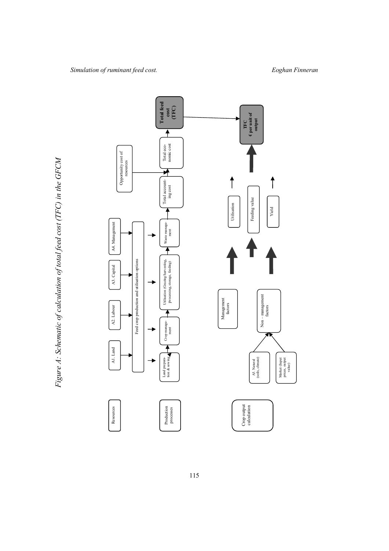